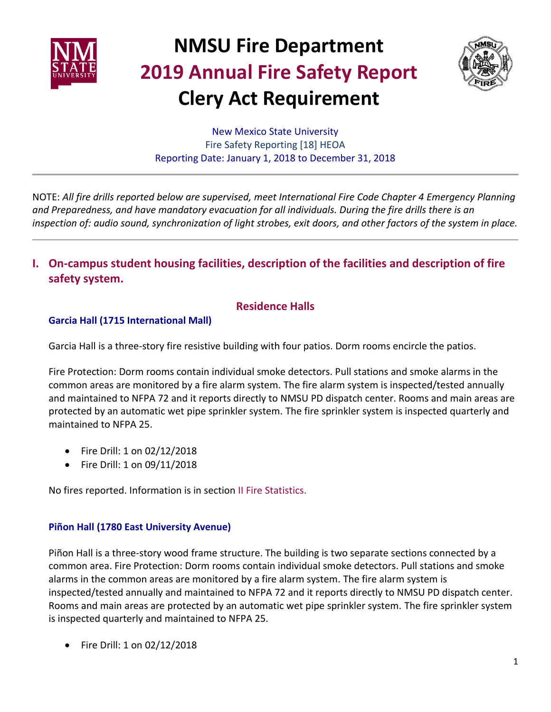



New Mexico State University Fire Safety Reporting [18] HEOA Reporting Date: January 1, 2018 to December 31, 2018

NOTE: *All fire drills reported below are supervised, meet International Fire Code Chapter 4 Emergency Planning and Preparedness, and have mandatory evacuation for all individuals. During the fire drills there is an inspection of: audio sound, synchronization of light strobes, exit doors, and other factors of the system in place.*

**I. On-campus student housing facilities, description of the facilities and description of fire safety system.**

#### **Residence Halls**

#### **Garcia Hall (1715 International Mall)**

Garcia Hall is a three-story fire resistive building with four patios. Dorm rooms encircle the patios.

Fire Protection: Dorm rooms contain individual smoke detectors. Pull stations and smoke alarms in the common areas are monitored by a fire alarm system. The fire alarm system is inspected/tested annually and maintained to NFPA 72 and it reports directly to NMSU PD dispatch center. Rooms and main areas are protected by an automatic wet pipe sprinkler system. The fire sprinkler system is inspected quarterly and maintained to NFPA 25.

- Fire Drill: 1 on 02/12/2018
- Fire Drill: 1 on 09/11/2018

No fires reported. Information is in section II Fire Statistics.

#### **Piñon Hall (1780 East University Avenue)**

Piñon Hall is a three-story wood frame structure. The building is two separate sections connected by a common area. Fire Protection: Dorm rooms contain individual smoke detectors. Pull stations and smoke alarms in the common areas are monitored by a fire alarm system. The fire alarm system is inspected/tested annually and maintained to NFPA 72 and it reports directly to NMSU PD dispatch center. Rooms and main areas are protected by an automatic wet pipe sprinkler system. The fire sprinkler system is inspected quarterly and maintained to NFPA 25.

Fire Drill: 1 on 02/12/2018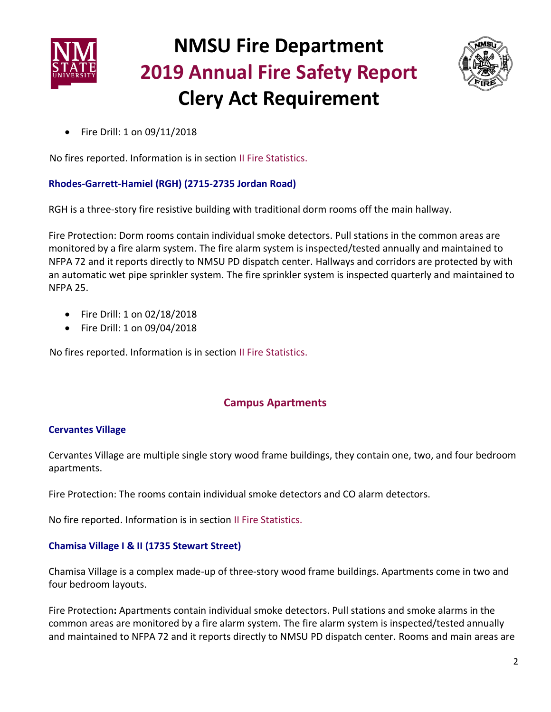



Fire Drill: 1 on 09/11/2018

No fires reported. Information is in section II Fire Statistics.

#### **Rhodes-Garrett-Hamiel (RGH) (2715-2735 Jordan Road)**

RGH is a three-story fire resistive building with traditional dorm rooms off the main hallway.

Fire Protection: Dorm rooms contain individual smoke detectors. Pull stations in the common areas are monitored by a fire alarm system. The fire alarm system is inspected/tested annually and maintained to NFPA 72 and it reports directly to NMSU PD dispatch center. Hallways and corridors are protected by with an automatic wet pipe sprinkler system. The fire sprinkler system is inspected quarterly and maintained to NFPA 25.

- Fire Drill: 1 on 02/18/2018
- Fire Drill: 1 on 09/04/2018

No fires reported. Information is in section II Fire Statistics.

### **Campus Apartments**

#### **Cervantes Village**

Cervantes Village are multiple single story wood frame buildings, they contain one, two, and four bedroom apartments.

Fire Protection: The rooms contain individual smoke detectors and CO alarm detectors.

No fire reported. Information is in section II Fire Statistics.

#### **Chamisa Village I & II (1735 Stewart Street)**

Chamisa Village is a complex made-up of three-story wood frame buildings. Apartments come in two and four bedroom layouts.

Fire Protection**:** Apartments contain individual smoke detectors. Pull stations and smoke alarms in the common areas are monitored by a fire alarm system. The fire alarm system is inspected/tested annually and maintained to NFPA 72 and it reports directly to NMSU PD dispatch center. Rooms and main areas are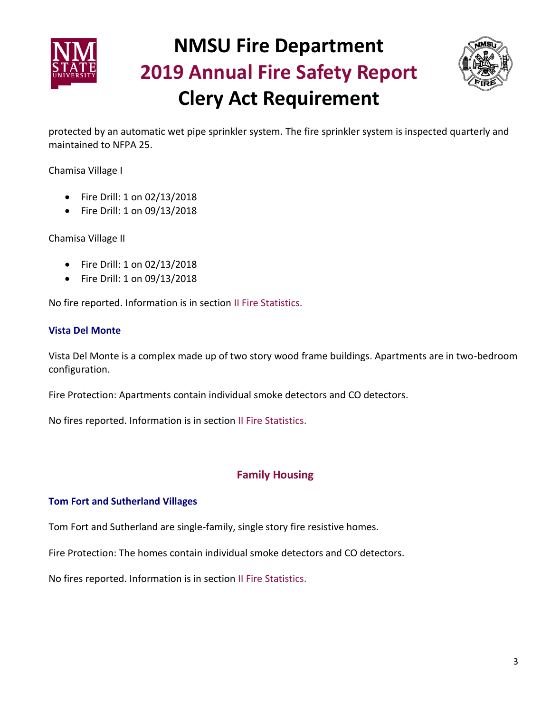



protected by an automatic wet pipe sprinkler system. The fire sprinkler system is inspected quarterly and maintained to NFPA 25.

Chamisa Village I

- Fire Drill: 1 on 02/13/2018
- Fire Drill: 1 on 09/13/2018

Chamisa Village II

- Fire Drill: 1 on 02/13/2018
- Fire Drill: 1 on 09/13/2018

No fire reported. Information is in section II Fire Statistics.

#### **Vista Del Monte**

Vista Del Monte is a complex made up of two story wood frame buildings. Apartments are in two-bedroom configuration.

Fire Protection: Apartments contain individual smoke detectors and CO detectors.

No fires reported. Information is in section II Fire Statistics.

#### **Family Housing**

#### **Tom Fort and Sutherland Villages**

Tom Fort and Sutherland are single-family, single story fire resistive homes.

Fire Protection: The homes contain individual smoke detectors and CO detectors.

No fires reported. Information is in section II Fire Statistics.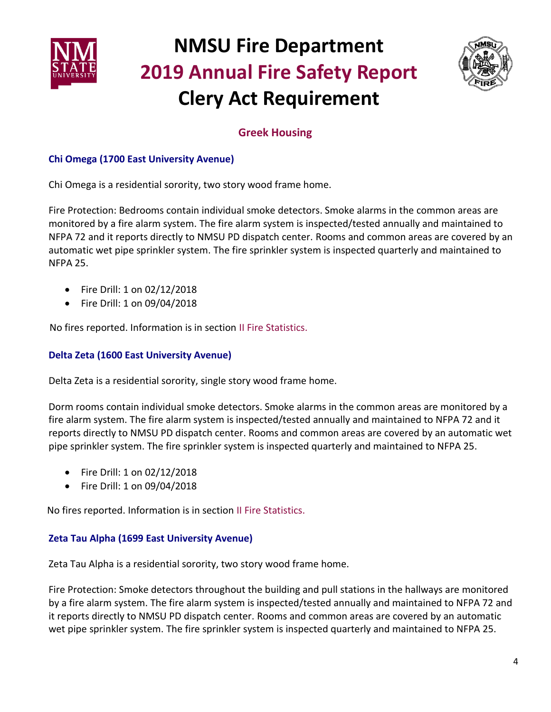



### **Greek Housing**

#### **Chi Omega (1700 East University Avenue)**

Chi Omega is a residential sorority, two story wood frame home.

Fire Protection: Bedrooms contain individual smoke detectors. Smoke alarms in the common areas are monitored by a fire alarm system. The fire alarm system is inspected/tested annually and maintained to NFPA 72 and it reports directly to NMSU PD dispatch center. Rooms and common areas are covered by an automatic wet pipe sprinkler system. The fire sprinkler system is inspected quarterly and maintained to NFPA 25.

- Fire Drill: 1 on 02/12/2018
- Fire Drill: 1 on 09/04/2018

No fires reported. Information is in section II Fire Statistics.

#### **Delta Zeta (1600 East University Avenue)**

Delta Zeta is a residential sorority, single story wood frame home.

Dorm rooms contain individual smoke detectors. Smoke alarms in the common areas are monitored by a fire alarm system. The fire alarm system is inspected/tested annually and maintained to NFPA 72 and it reports directly to NMSU PD dispatch center. Rooms and common areas are covered by an automatic wet pipe sprinkler system. The fire sprinkler system is inspected quarterly and maintained to NFPA 25.

- Fire Drill: 1 on 02/12/2018
- Fire Drill: 1 on 09/04/2018

No fires reported. Information is in section II Fire Statistics.

#### **Zeta Tau Alpha (1699 East University Avenue)**

Zeta Tau Alpha is a residential sorority, two story wood frame home.

Fire Protection: Smoke detectors throughout the building and pull stations in the hallways are monitored by a fire alarm system. The fire alarm system is inspected/tested annually and maintained to NFPA 72 and it reports directly to NMSU PD dispatch center. Rooms and common areas are covered by an automatic wet pipe sprinkler system. The fire sprinkler system is inspected quarterly and maintained to NFPA 25.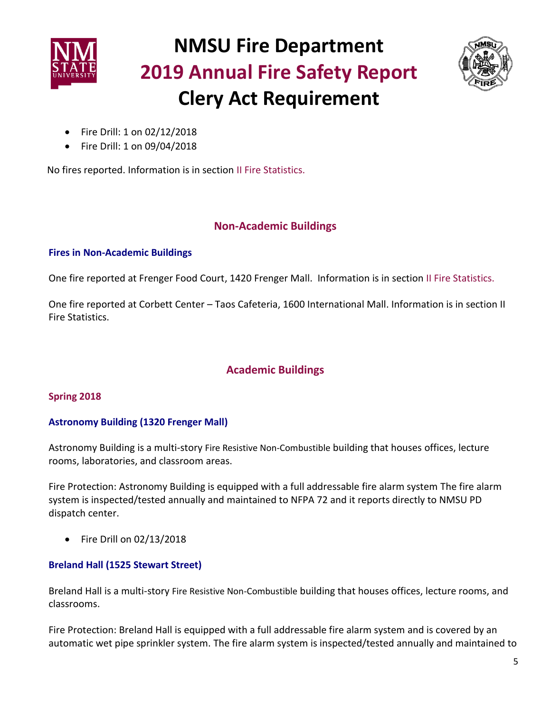



- Fire Drill: 1 on 02/12/2018
- Fire Drill: 1 on 09/04/2018

No fires reported. Information is in section II Fire Statistics.

### **Non-Academic Buildings**

#### **Fires in Non-Academic Buildings**

One fire reported at Frenger Food Court, 1420 Frenger Mall. Information is in section II Fire Statistics.

One fire reported at Corbett Center – Taos Cafeteria, 1600 International Mall. Information is in section II Fire Statistics.

### **Academic Buildings**

#### **Spring 2018**

#### **Astronomy Building (1320 Frenger Mall)**

Astronomy Building is a multi-story Fire Resistive Non-Combustible building that houses offices, lecture rooms, laboratories, and classroom areas.

Fire Protection: Astronomy Building is equipped with a full addressable fire alarm system The fire alarm system is inspected/tested annually and maintained to NFPA 72 and it reports directly to NMSU PD dispatch center.

 $\bullet$  Fire Drill on 02/13/2018

#### **Breland Hall (1525 Stewart Street)**

Breland Hall is a multi-story Fire Resistive Non-Combustible building that houses offices, lecture rooms, and classrooms.

Fire Protection: Breland Hall is equipped with a full addressable fire alarm system and is covered by an automatic wet pipe sprinkler system. The fire alarm system is inspected/tested annually and maintained to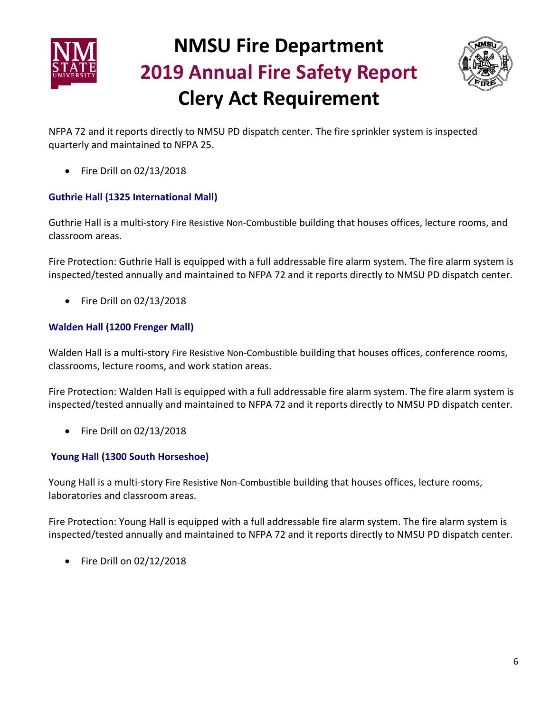



NFPA 72 and it reports directly to NMSU PD dispatch center. The fire sprinkler system is inspected quarterly and maintained to NFPA 25.

 $\bullet$  Fire Drill on 02/13/2018

#### **Guthrie Hall (1325 International Mall)**

Guthrie Hall is a multi-story Fire Resistive Non-Combustible building that houses offices, lecture rooms, and classroom areas.

Fire Protection: Guthrie Hall is equipped with a full addressable fire alarm system. The fire alarm system is inspected/tested annually and maintained to NFPA 72 and it reports directly to NMSU PD dispatch center.

 $\bullet$  Fire Drill on 02/13/2018

#### **Walden Hall (1200 Frenger Mall)**

Walden Hall is a multi-story Fire Resistive Non-Combustible building that houses offices, conference rooms, classrooms, lecture rooms, and work station areas.

Fire Protection: Walden Hall is equipped with a full addressable fire alarm system. The fire alarm system is inspected/tested annually and maintained to NFPA 72 and it reports directly to NMSU PD dispatch center.

• Fire Drill on 02/13/2018

#### **Young Hall (1300 South Horseshoe)**

Young Hall is a multi-story Fire Resistive Non-Combustible building that houses offices, lecture rooms, laboratories and classroom areas.

Fire Protection: Young Hall is equipped with a full addressable fire alarm system. The fire alarm system is inspected/tested annually and maintained to NFPA 72 and it reports directly to NMSU PD dispatch center.

Fire Drill on 02/12/2018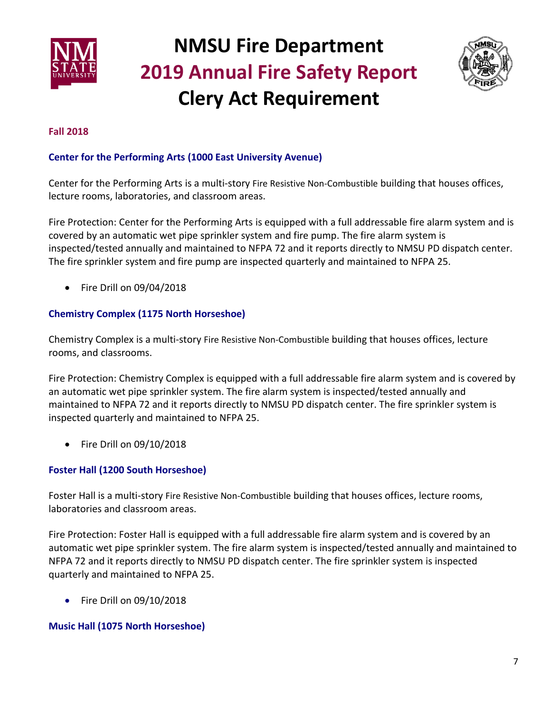



#### **Fall 2018**

#### **Center for the Performing Arts (1000 East University Avenue)**

Center for the Performing Arts is a multi-story Fire Resistive Non-Combustible building that houses offices, lecture rooms, laboratories, and classroom areas.

Fire Protection: Center for the Performing Arts is equipped with a full addressable fire alarm system and is covered by an automatic wet pipe sprinkler system and fire pump. The fire alarm system is inspected/tested annually and maintained to NFPA 72 and it reports directly to NMSU PD dispatch center. The fire sprinkler system and fire pump are inspected quarterly and maintained to NFPA 25.

• Fire Drill on 09/04/2018

#### **Chemistry Complex (1175 North Horseshoe)**

Chemistry Complex is a multi-story Fire Resistive Non-Combustible building that houses offices, lecture rooms, and classrooms.

Fire Protection: Chemistry Complex is equipped with a full addressable fire alarm system and is covered by an automatic wet pipe sprinkler system. The fire alarm system is inspected/tested annually and maintained to NFPA 72 and it reports directly to NMSU PD dispatch center. The fire sprinkler system is inspected quarterly and maintained to NFPA 25.

 $\bullet$  Fire Drill on 09/10/2018

#### **Foster Hall (1200 South Horseshoe)**

Foster Hall is a multi-story Fire Resistive Non-Combustible building that houses offices, lecture rooms, laboratories and classroom areas.

Fire Protection: Foster Hall is equipped with a full addressable fire alarm system and is covered by an automatic wet pipe sprinkler system. The fire alarm system is inspected/tested annually and maintained to NFPA 72 and it reports directly to NMSU PD dispatch center. The fire sprinkler system is inspected quarterly and maintained to NFPA 25.

 $\bullet$  Fire Drill on 09/10/2018

#### **Music Hall (1075 North Horseshoe)**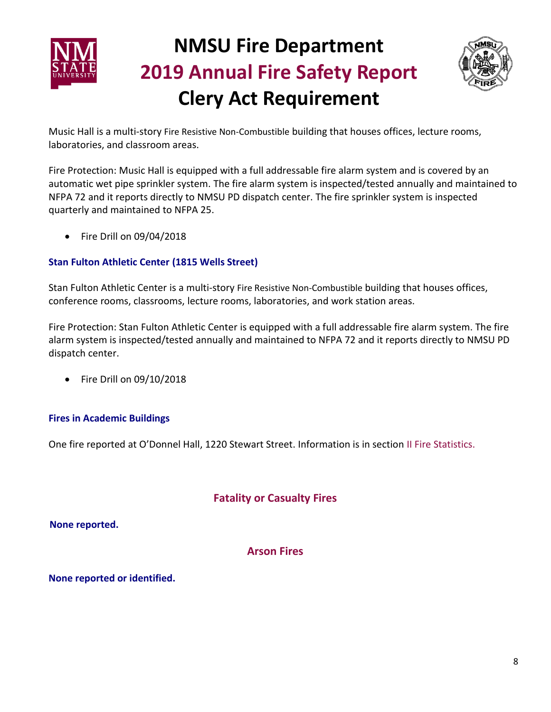



Music Hall is a multi-story Fire Resistive Non-Combustible building that houses offices, lecture rooms, laboratories, and classroom areas.

Fire Protection: Music Hall is equipped with a full addressable fire alarm system and is covered by an automatic wet pipe sprinkler system. The fire alarm system is inspected/tested annually and maintained to NFPA 72 and it reports directly to NMSU PD dispatch center. The fire sprinkler system is inspected quarterly and maintained to NFPA 25.

• Fire Drill on 09/04/2018

#### **Stan Fulton Athletic Center (1815 Wells Street)**

Stan Fulton Athletic Center is a multi-story Fire Resistive Non-Combustible building that houses offices, conference rooms, classrooms, lecture rooms, laboratories, and work station areas.

Fire Protection: Stan Fulton Athletic Center is equipped with a full addressable fire alarm system. The fire alarm system is inspected/tested annually and maintained to NFPA 72 and it reports directly to NMSU PD dispatch center.

 $\bullet$  Fire Drill on 09/10/2018

#### **Fires in Academic Buildings**

One fire reported at O'Donnel Hall, 1220 Stewart Street. Information is in section II Fire Statistics.

### **Fatality or Casualty Fires**

 **None reported.**

**Arson Fires** 

**None reported or identified.**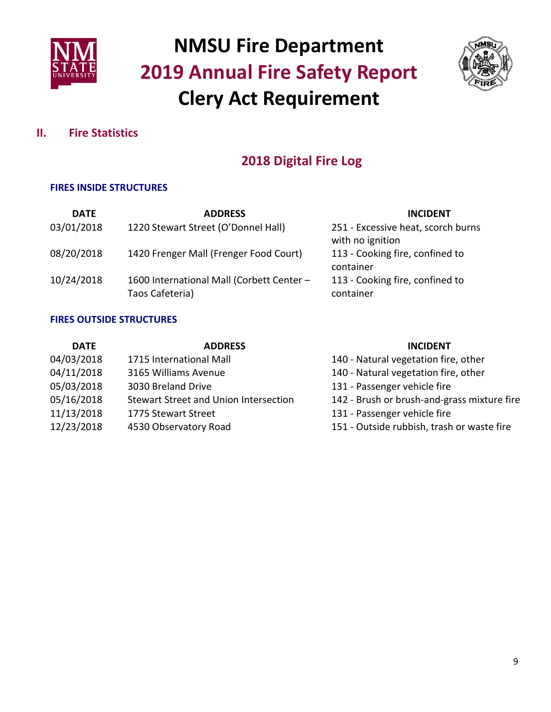



### **II. Fire Statistics**

### **2018 Digital Fire Log**

#### **FIRES INSIDE STRUCTURES**

| <b>DATE</b> | <b>ADDRESS</b>                                               | <b>INCIDENT</b>                                        |
|-------------|--------------------------------------------------------------|--------------------------------------------------------|
| 03/01/2018  | 1220 Stewart Street (O'Donnel Hall)                          | 251 - Excessive heat, scorch burns<br>with no ignition |
| 08/20/2018  | 1420 Frenger Mall (Frenger Food Court)                       | 113 - Cooking fire, confined to<br>container           |
| 10/24/2018  | 1600 International Mall (Corbett Center -<br>Taos Cafeteria) | 113 - Cooking fire, confined to<br>container           |

#### **FIRES OUTSIDE STRUCTURES**

| <b>DATE</b> | <b>ADDRESS</b>                        | <b>INCIDENT</b>                             |
|-------------|---------------------------------------|---------------------------------------------|
| 04/03/2018  | 1715 International Mall               | 140 - Natural vegetation fire, other        |
| 04/11/2018  | 3165 Williams Avenue                  | 140 - Natural vegetation fire, other        |
| 05/03/2018  | 3030 Breland Drive                    | 131 - Passenger vehicle fire                |
| 05/16/2018  | Stewart Street and Union Intersection | 142 - Brush or brush-and-grass mixture fire |
| 11/13/2018  | 1775 Stewart Street                   | 131 - Passenger vehicle fire                |
| 12/23/2018  | 4530 Observatory Road                 | 151 - Outside rubbish, trash or waste fire  |